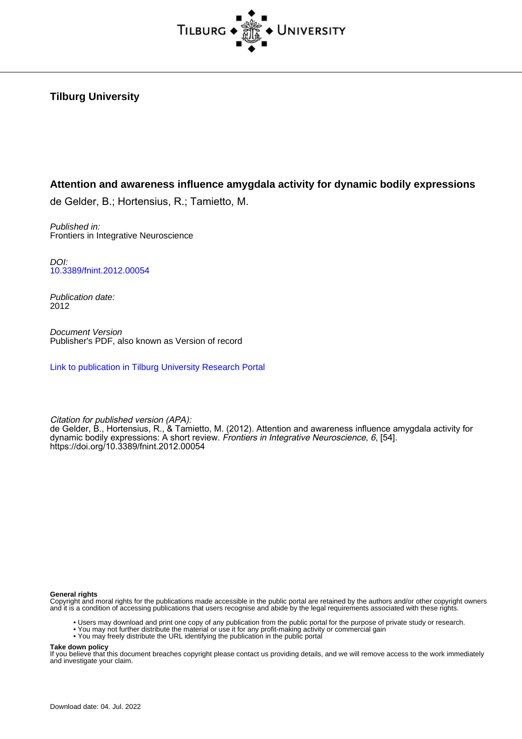

# **Tilburg University**

# **Attention and awareness influence amygdala activity for dynamic bodily expressions**

de Gelder, B.; Hortensius, R.; Tamietto, M.

Published in: Frontiers in Integrative Neuroscience

DOI: [10.3389/fnint.2012.00054](https://doi.org/10.3389/fnint.2012.00054)

Publication date: 2012

Document Version Publisher's PDF, also known as Version of record

[Link to publication in Tilburg University Research Portal](https://research.tilburguniversity.edu/en/publications/09c90e42-7c80-45f4-9df5-53b9d47995c6)

Citation for published version (APA): de Gelder, B., Hortensius, R., & Tamietto, M. (2012). Attention and awareness influence amygdala activity for dynamic bodily expressions: A short review. *Frontiers in Integrative Neuroscience*, 6, [54]. <https://doi.org/10.3389/fnint.2012.00054>

#### **General rights**

Copyright and moral rights for the publications made accessible in the public portal are retained by the authors and/or other copyright owners and it is a condition of accessing publications that users recognise and abide by the legal requirements associated with these rights.

- Users may download and print one copy of any publication from the public portal for the purpose of private study or research.
- You may not further distribute the material or use it for any profit-making activity or commercial gain
- You may freely distribute the URL identifying the publication in the public portal

#### **Take down policy**

If you believe that this document breaches copyright please contact us providing details, and we will remove access to the work immediately and investigate your claim.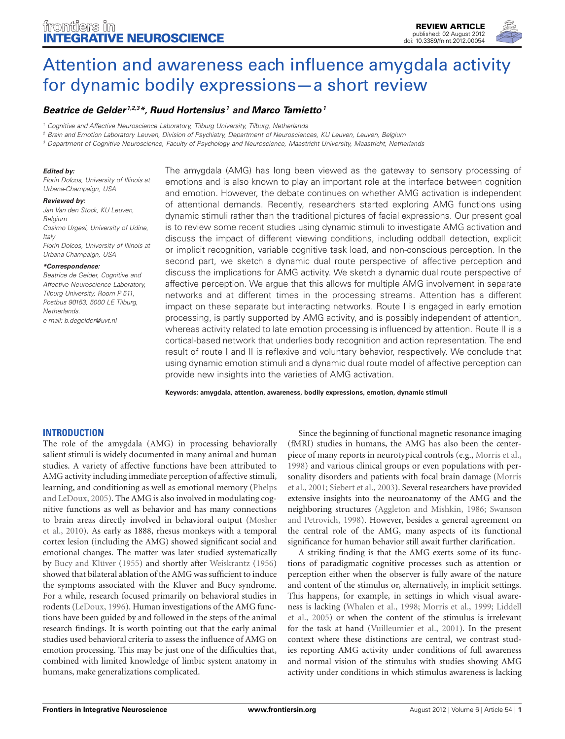

# [Attention and awareness each influence amygdala activity](http://www.frontiersin.org/Integrative_Neuroscience/10.3389/fnint.2012.00054/abstract) for dynamic bodily expressions—a short review

#### *[Beatrice de Gelder](http://www.frontiersin.org/Community/WhosWhoActivity.aspx?sname=BeatriceDe_Gelder&UID=8682) 1,2,3\*, [Ruud Hortensius](http://www.frontiersin.org/Community/WhosWhoActivity.aspx?sname=RuudHortensius&UID=53614) <sup>1</sup> and [Marco Tamietto](http://www.frontiersin.org/Community/WhosWhoActivity.aspx?sname=MarcoTamietto&UID=15005)1*

*<sup>1</sup> Cognitive and Affective Neuroscience Laboratory, Tilburg University, Tilburg, Netherlands*

*<sup>2</sup> Brain and Emotion Laboratory Leuven, Division of Psychiatry, Department of Neurosciences, KU Leuven, Leuven, Belgium*

*<sup>3</sup> Department of Cognitive Neuroscience, Faculty of Psychology and Neuroscience, Maastricht University, Maastricht, Netherlands*

#### *Edited by:*

*Florin Dolcos, University of Illinois at Urbana-Champaign, USA*

#### *Reviewed by:*

*Jan Van den Stock, KU Leuven, Belgium Cosimo Urgesi, University of Udine, Italy Florin Dolcos, University of Illinois at Urbana-Champaign, USA*

#### *\*Correspondence:*

*Beatrice de Gelder, Cognitive and Affective Neuroscience Laboratory, Tilburg University, Room P 511, Postbus 90153, 5000 LE Tilburg, Netherlands. e-mail: b.degelder@uvt.nl*

The amygdala (AMG) has long been viewed as the gateway to sensory processing of emotions and is also known to play an important role at the interface between cognition and emotion. However, the debate continues on whether AMG activation is independent of attentional demands. Recently, researchers started exploring AMG functions using dynamic stimuli rather than the traditional pictures of facial expressions. Our present goal is to review some recent studies using dynamic stimuli to investigate AMG activation and discuss the impact of different viewing conditions, including oddball detection, explicit or implicit recognition, variable cognitive task load, and non-conscious perception. In the second part, we sketch a dynamic dual route perspective of affective perception and discuss the implications for AMG activity. We sketch a dynamic dual route perspective of affective perception. We argue that this allows for multiple AMG involvement in separate networks and at different times in the processing streams. Attention has a different impact on these separate but interacting networks. Route I is engaged in early emotion processing, is partly supported by AMG activity, and is possibly independent of attention, whereas activity related to late emotion processing is influenced by attention. Route II is a cortical-based network that underlies body recognition and action representation. The end result of route I and II is reflexive and voluntary behavior, respectively. We conclude that using dynamic emotion stimuli and a dynamic dual route model of affective perception can provide new insights into the varieties of AMG activation.

**Keywords: amygdala, attention, awareness, bodily expressions, emotion, dynamic stimuli**

## **INTRODUCTION**

The role of the amygdala (AMG) in processing behaviorally salient stimuli is widely documented in many animal and human studies. A variety of affective functions have been attributed to AMG activity including immediate perception of affective stimuli, learning, an[d](#page-9-0) [conditioning](#page-9-0) [as](#page-9-0) [well](#page-9-0) [as](#page-9-0) [emotional](#page-9-0) [memory](#page-9-0) [\(](#page-9-0)Phelps and LeDoux, [2005](#page-9-0)). The AMG is also involved in modulating cognitive functions as well as behavior and has many connections to b[rain areas directly involved in behavioral output \(](#page-9-1)Mosher et al., [2010\)](#page-9-1). As early as 1888, rhesus monkeys with a temporal cortex lesion (including the AMG) showed significant social and emotional changes. The matter was later studied systematically by [Bucy and Klüver](#page-8-0) [\(1955\)](#page-8-0) and shortly after [Weiskrantz](#page-9-2) [\(1956](#page-9-2)) showed that bilateral ablation of the AMG was sufficient to induce the symptoms associated with the Kluver and Bucy syndrome. For a while, research focused primarily on behavioral studies in rodents [\(LeDoux, 1996](#page-9-3)). Human investigations of the AMG functions have been guided by and followed in the steps of the animal research findings. It is worth pointing out that the early animal studies used behavioral criteria to assess the influence of AMG on emotion processing. This may be just one of the difficulties that, combined with limited knowledge of limbic system anatomy in humans, make generalizations complicated.

Since the beginning of functional magnetic resonance imaging (fMRI) studies in humans, the AMG has also been the centerpiece of many reports in neurotypical controls (e.g., [Morris et al.,](#page-9-4) [1998](#page-9-4)) and various clinical groups or even populations with persona[lity disorders and patients with focal brain damage \(](#page-9-5)Morris et al., [2001](#page-9-5); [Siebert et al., 2003](#page-9-6)). Several researchers have provided extensive insights into the neuroanatomy of the AMG and the neighboring structures [\(Aggleton and Mishkin](#page-8-1), [1986](#page-8-1); Swanson and Petrovich, [1998](#page-9-7)). However, besides a general agreement on the central role of the AMG, many aspects of its functional significance for human behavior still await further clarification.

A striking finding is that the AMG exerts some of its functions of paradigmatic cognitive processes such as attention or perception either when the observer is fully aware of the nature and content of the stimulus or, alternatively, in implicit settings. This happens, for example, in settings in which visual awareness [is](#page-9-10) [lacking](#page-9-10) [\(Whalen et al.](#page-9-8)[,](#page-9-10) [1998](#page-9-8)[;](#page-9-10) [Morris et al.](#page-9-9)[,](#page-9-10) [1999](#page-9-9)[;](#page-9-10) Liddell et al., [2005](#page-9-10)) or when the content of the stimulus is irrelevant for the task at hand [\(Vuilleumier et al., 2001](#page-9-11)). In the present context where these distinctions are central, we contrast studies reporting AMG activity under conditions of full awareness and normal vision of the stimulus with studies showing AMG activity under conditions in which stimulus awareness is lacking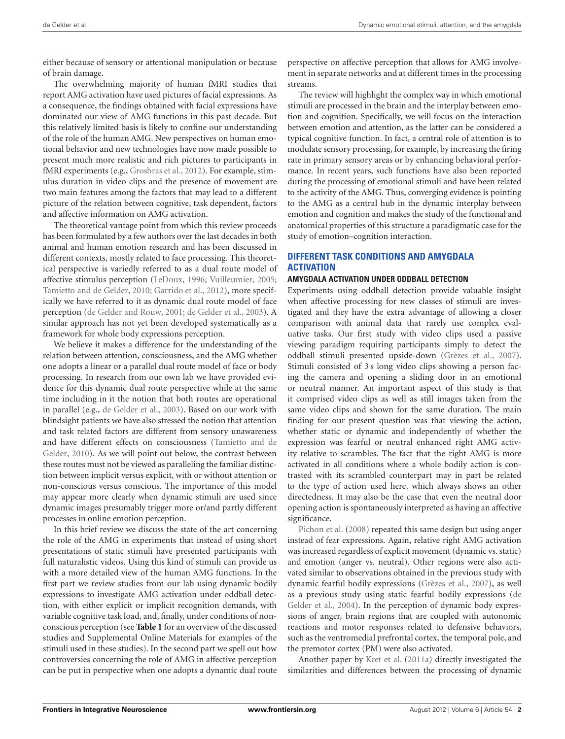either because of sensory or attentional manipulation or because of brain damage.

The overwhelming majority of human fMRI studies that report AMG activation have used pictures of facial expressions. As a consequence, the findings obtained with facial expressions have dominated our view of AMG functions in this past decade. But this relatively limited basis is likely to confine our understanding of the role of the human AMG. New perspectives on human emotional behavior and new technologies have now made possible to present much more realistic and rich pictures to participants in fMRI experiments (e.g., [Grosbras et al., 2012](#page-8-2)). For example, stimulus duration in video clips and the presence of movement are two main features among the factors that may lead to a different picture of the relation between cognitive, task dependent, factors and affective information on AMG activation.

The theoretical vantage point from which this review proceeds has been formulated by a few authors over the last decades in both animal and human emotion research and has been discussed in different contexts, mostly related to face processing. This theoretical perspective is variedly referred to as a dual route model of affective stimulus perception [\(LeDoux](#page-9-3), [1996;](#page-9-3) [Vuilleumier](#page-9-12), [2005;](#page-9-12) [Tamietto and de Gelder, 2010;](#page-9-13) [Garrido et al.](#page-8-3), [2012](#page-8-3)), more specifically we have referred to it as dynamic dual route model of face perception [\(de Gelder and Rouw, 2001;](#page-8-4) [de Gelder et al., 2003\)](#page-8-5). A similar approach has not yet been developed systematically as a framework for whole body expressions perception.

We believe it makes a difference for the understanding of the relation between attention, consciousness, and the AMG whether one adopts a linear or a parallel dual route model of face or body processing. In research from our own lab we have provided evidence for this dynamic dual route perspective while at the same time including in it the notion that both routes are operational in parallel (e.g., [de Gelder et al., 2003\)](#page-8-5). Based on our work with blindsight patients we have also stressed the notion that attention and task related factors are different from sensory unawareness and h[ave different effects on consciousness \(](#page-9-13)Tamietto and de Gelder, [2010](#page-9-13)). As we will point out below, the contrast between these routes must not be viewed as paralleling the familiar distinction between implicit versus explicit, with or without attention or non-conscious versus conscious. The importance of this model may appear more clearly when dynamic stimuli are used since dynamic images presumably trigger more or/and partly different processes in online emotion perception.

In this brief review we discuss the state of the art concerning the role of the AMG in experiments that instead of using short presentations of static stimuli have presented participants with full naturalistic videos. Using this kind of stimuli can provide us with a more detailed view of the human AMG functions. In the first part we review studies from our lab using dynamic bodily expressions to investigate AMG activation under oddball detection, with either explicit or implicit recognition demands, with variable cognitive task load, and, finally, under conditions of nonconscious perception (see **[Table 1](#page-3-0)** for an overview of the discussed studies and Supplemental Online Materials for examples of the stimuli used in these studies). In the second part we spell out how controversies concerning the role of AMG in affective perception can be put in perspective when one adopts a dynamic dual route

perspective on affective perception that allows for AMG involvement in separate networks and at different times in the processing streams.

The review will highlight the complex way in which emotional stimuli are processed in the brain and the interplay between emotion and cognition. Specifically, we will focus on the interaction between emotion and attention, as the latter can be considered a typical cognitive function. In fact, a central role of attention is to modulate sensory processing, for example, by increasing the firing rate in primary sensory areas or by enhancing behavioral performance. In recent years, such functions have also been reported during the processing of emotional stimuli and have been related to the activity of the AMG. Thus, converging evidence is pointing to the AMG as a central hub in the dynamic interplay between emotion and cognition and makes the study of the functional and anatomical properties of this structure a paradigmatic case for the study of emotion–cognition interaction.

## **DIFFERENT TASK CONDITIONS AND AMYGDALA ACTIVATION**

#### **AMYGDALA ACTIVATION UNDER ODDBALL DETECTION**

Experiments using oddball detection provide valuable insight when affective processing for new classes of stimuli are investigated and they have the extra advantage of allowing a closer comparison with animal data that rarely use complex evaluative tasks. Our first study with video clips used a passive viewing paradigm requiring participants simply to detect the oddball stimuli presented upside-down [\(Grèzes et al., 2007\)](#page-8-6). Stimuli consisted of 3 s long video clips showing a person facing the camera and opening a sliding door in an emotional or neutral manner. An important aspect of this study is that it comprised video clips as well as still images taken from the same video clips and shown for the same duration. The main finding for our present question was that viewing the action, whether static or dynamic and independently of whether the expression was fearful or neutral enhanced right AMG activity relative to scrambles. The fact that the right AMG is more activated in all conditions where a whole bodily action is contrasted with its scrambled counterpart may in part be related to the type of action used here, which always shows an other directedness. It may also be the case that even the neutral door opening action is spontaneously interpreted as having an affective [significance.](#page-9-14)

Pichon et al. [\(2008\)](#page-9-14) repeated this same design but using anger instead of fear expressions. Again, relative right AMG activation was increased regardless of explicit movement (dynamic vs. static) and emotion (anger vs. neutral). Other regions were also activated similar to observations obtained in the previous study with dynamic fearful bodily expressions [\(Grèzes et al.](#page-8-6), [2007\)](#page-8-6), as well as a previo[us](#page-8-7) [study](#page-8-7) [using](#page-8-7) [static](#page-8-7) [fearful](#page-8-7) [bodily](#page-8-7) [expressions](#page-8-7) [\(](#page-8-7)de Gelder et al., [2004](#page-8-7)). In the perception of dynamic body expressions of anger, brain regions that are coupled with autonomic reactions and motor responses related to defensive behaviors, such as the ventromedial prefrontal cortex, the temporal pole, and the premotor cortex (PM) were also activated.

Another paper by [Kret et al.](#page-9-15) [\(2011a](#page-9-15)) directly investigated the similarities and differences between the processing of dynamic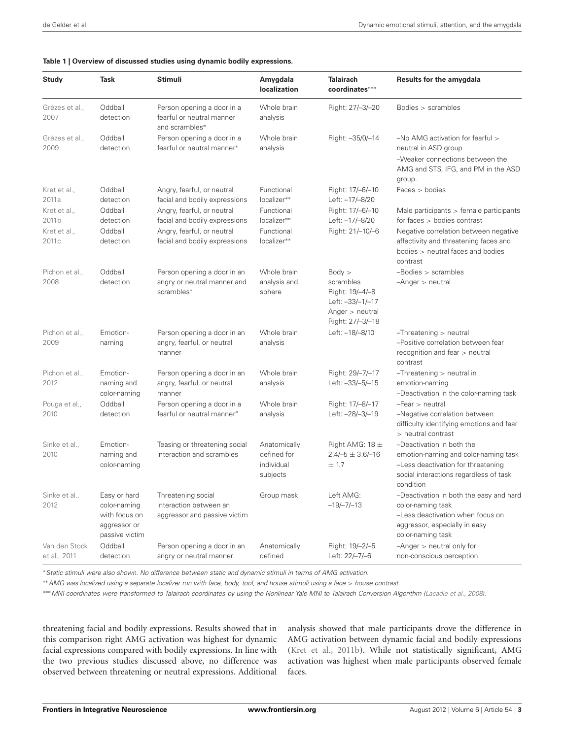<span id="page-3-0"></span>

|  |  |  |  |  | Table 1   Overview of discussed studies using dynamic bodily expressions. |
|--|--|--|--|--|---------------------------------------------------------------------------|
|--|--|--|--|--|---------------------------------------------------------------------------|

| <b>Study</b>                                   | Task                                                                            | <b>Stimuli</b>                                                                                                             | Amygdala<br><b>localization</b>                        | <b>Talairach</b><br>coordinates***                                                                | Results for the amygdala                                                                                                                                                                                      |
|------------------------------------------------|---------------------------------------------------------------------------------|----------------------------------------------------------------------------------------------------------------------------|--------------------------------------------------------|---------------------------------------------------------------------------------------------------|---------------------------------------------------------------------------------------------------------------------------------------------------------------------------------------------------------------|
| Grèzes et al.,<br>2007                         | Oddball<br>detection                                                            | Person opening a door in a<br>fearful or neutral manner<br>and scrambles*                                                  | Whole brain<br>analysis                                | Right: 27/-3/-20                                                                                  | Bodies > scrambles                                                                                                                                                                                            |
| Grèzes et al.,<br>2009                         | Oddball<br>detection                                                            | Person opening a door in a<br>fearful or neutral manner*                                                                   | Whole brain<br>analysis                                | Right: -35/0/-14                                                                                  | $-No$ AMG activation for fearful $>$<br>neutral in ASD group<br>-Weaker connections between the<br>AMG and STS, IFG, and PM in the ASD<br>group.                                                              |
| Kret et al.,<br>2011a                          | Oddball<br>detection                                                            | Angry, fearful, or neutral<br>facial and bodily expressions                                                                | Functional<br>localizer**                              | Right: 17/-6/-10<br>Left: -17/-8/20                                                               | Faces > bodies                                                                                                                                                                                                |
| Kret et al.,<br>2011b<br>Kret et al.,<br>2011c | Oddball<br>detection<br>Oddball<br>detection                                    | Angry, fearful, or neutral<br>facial and bodily expressions<br>Angry, fearful, or neutral<br>facial and bodily expressions | Functional<br>localizer**<br>Functional<br>localizer** | Right: 17/-6/-10<br>Left: -17/-8/20<br>Right: 21/-10/-6                                           | Male participants $>$ female participants<br>for faces $>$ bodies contrast<br>Negative correlation between negative<br>affectivity and threatening faces and<br>bodies > neutral faces and bodies<br>contrast |
| Pichon et al.,<br>2008                         | Oddball<br>detection                                                            | Person opening a door in an<br>angry or neutral manner and<br>scrambles*                                                   | Whole brain<br>analysis and<br>sphere                  | Body ><br>scrambles<br>Right: 19/-4/-8<br>Left: -33/-1/-17<br>Anger > neutral<br>Right: 27/-3/-18 | $-$ Bodies $>$ scrambles<br>$-Anger > neutral$                                                                                                                                                                |
| Pichon et al.,<br>2009                         | Emotion-<br>naming                                                              | Person opening a door in an<br>angry, fearful, or neutral<br>manner                                                        | Whole brain<br>analysis                                | Left: -18/-8/10                                                                                   | $-$ Threatening $>$ neutral<br>-Positive correlation between fear<br>recognition and fear > neutral<br>contrast                                                                                               |
| Pichon et al.,<br>2012                         | Emotion-<br>naming and<br>color-naming                                          | Person opening a door in an<br>angry, fearful, or neutral<br>manner                                                        | Whole brain<br>analysis                                | Right: 29/-7/-17<br>Left: -33/-5/-15                                                              | $-$ Threatening $>$ neutral in<br>emotion-naming<br>-Deactivation in the color-naming task                                                                                                                    |
| Pouga et al.,<br>2010                          | Oddball<br>detection                                                            | Person opening a door in a<br>fearful or neutral manner*                                                                   | Whole brain<br>analysis                                | Right: 17/-8/-17<br>Left: -28/-3/-19                                                              | $-Fear$ > neutral<br>-Negative correlation between<br>difficulty identifying emotions and fear<br>> neutral contrast                                                                                          |
| Sinke et al.,<br>2010                          | Emotion-<br>naming and<br>color-naming                                          | Teasing or threatening social<br>interaction and scrambles                                                                 | Anatomically<br>defined for<br>individual<br>subjects  | Right AMG: 18 ±<br>$2.4/-5 \pm 3.6/-16$<br>± 1.7                                                  | -Deactivation in both the<br>emotion-naming and color-naming task<br>-Less deactivation for threatening<br>social interactions regardless of task<br>condition                                                |
| Sinke et al.,<br>2012                          | Easy or hard<br>color-naming<br>with focus on<br>aggressor or<br>passive victim | Threatening social<br>interaction between an<br>aggressor and passive victim                                               | Group mask                                             | Left AMG:<br>$-19/-7/-13$                                                                         | -Deactivation in both the easy and hard<br>color-naming task<br>-Less deactivation when focus on<br>aggressor, especially in easy<br>color-naming task                                                        |
| Van den Stock<br>et al., 2011                  | Oddball<br>detection                                                            | Person opening a door in an<br>angry or neutral manner                                                                     | Anatomically<br>defined                                | Right: 19/-2/-5<br>Left: 22/-7/-6                                                                 | $-Anger > neutral only for$<br>non-conscious perception                                                                                                                                                       |

∗*Static stimuli were also shown. No difference between static and dynamic stimuli in terms of AMG activation.*

∗∗*AMG was localized using a separate localizer run with face, body, tool, and house stimuli using a face > house contrast.*

∗∗∗*MNI coordinates were transformed to Talairach coordinates by using the Nonlinear Yale MNI to Talairach Conversion Algorithm [\(Lacadie et al.](#page-9-24), [2008\)](#page-9-24).*

threatening facial and bodily expressions. Results showed that in this comparison right AMG activation was highest for dynamic facial expressions compared with bodily expressions. In line with the two previous studies discussed above, no difference was observed between threatening or neutral expressions. Additional

analysis showed that male participants drove the difference in AMG activation between dynamic facial and bodily expressions [\(Kret et al., 2011b\)](#page-9-16). While not statistically significant, AMG activation was highest when male participants observed female faces.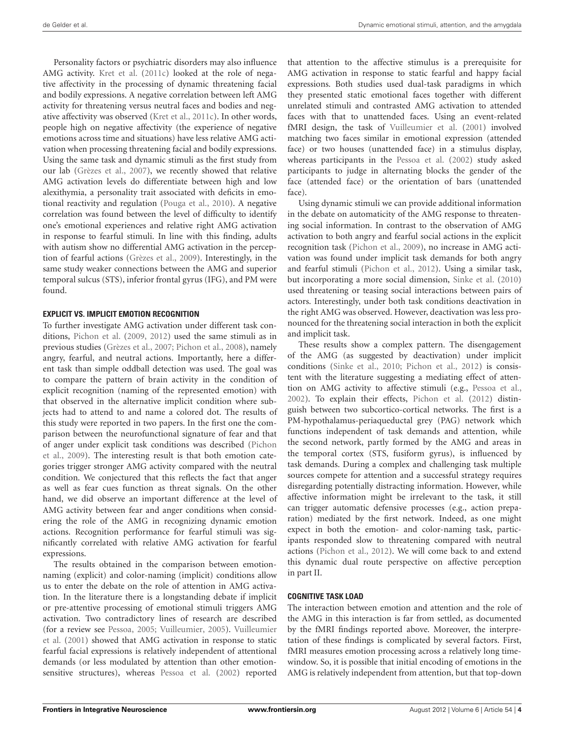Personality factors or psychiatric disorders may also influence AMG activity. [Kret et al.](#page-9-17) [\(2011c\)](#page-9-17) looked at the role of negative affectivity in the processing of dynamic threatening facial and bodily expressions. A negative correlation between left AMG activity for threatening versus neutral faces and bodies and negative affectivity was observed [\(Kret et al.](#page-9-17), [2011c](#page-9-17)). In other words, people high on negative affectivity (the experience of negative emotions across time and situations) have less relative AMG activation when processing threatening facial and bodily expressions. Using the same task and dynamic stimuli as the first study from our lab [\(Grèzes et al.](#page-8-6), [2007\)](#page-8-6), we recently showed that relative AMG activation levels do differentiate between high and low alexithymia, a personality trait associated with deficits in emotional reactivity and regulation [\(Pouga et al.](#page-9-20), [2010\)](#page-9-20). A negative correlation was found between the level of difficulty to identify one's emotional experiences and relative right AMG activation in response to fearful stimuli. In line with this finding, adults with autism show no differential AMG activation in the perception of fearful actions [\(Grèzes et al., 2009](#page-8-8)). Interestingly, in the same study weaker connections between the AMG and superior temporal sulcus (STS), inferior frontal gyrus (IFG), and PM were found.

#### **EXPLICIT VS. IMPLICIT EMOTION RECOGNITION**

To further investigate AMG activation under different task conditions, [Pichon et al.](#page-9-18) [\(2009](#page-9-18), [2012](#page-9-19)) used the same stimuli as in previous studies [\(Grèzes et al.](#page-8-6), [2007](#page-8-6); [Pichon et al.](#page-9-14), [2008\)](#page-9-14), namely angry, fearful, and neutral actions. Importantly, here a different task than simple oddball detection was used. The goal was to compare the pattern of brain activity in the condition of explicit recognition (naming of the represented emotion) with that observed in the alternative implicit condition where subjects had to attend to and name a colored dot. The results of this study were reported in two papers. In the first one the comparison between the neurofunctional signature of fear and that of a[nger](#page-9-18) [under](#page-9-18) [explicit](#page-9-18) [task](#page-9-18) [conditions](#page-9-18) [was](#page-9-18) [described](#page-9-18) [\(](#page-9-18)Pichon et al., [2009](#page-9-18)). The interesting result is that both emotion categories trigger stronger AMG activity compared with the neutral condition. We conjectured that this reflects the fact that anger as well as fear cues function as threat signals. On the other hand, we did observe an important difference at the level of AMG activity between fear and anger conditions when considering the role of the AMG in recognizing dynamic emotion actions. Recognition performance for fearful stimuli was significantly correlated with relative AMG activation for fearful expressions.

The results obtained in the comparison between emotionnaming (explicit) and color-naming (implicit) conditions allow us to enter the debate on the role of attention in AMG activation. In the literature there is a longstanding debate if implicit or pre-attentive processing of emotional stimuli triggers AMG activation. Two contradictory lines of research are described (for a review see [Pessoa](#page-9-25)[,](#page-9-11) [2005](#page-9-25)[;](#page-9-11) [Vuilleumier](#page-9-12)[,](#page-9-11) [2005](#page-9-12)[\).](#page-9-11) Vuilleumier et al. [\(2001\)](#page-9-11) showed that AMG activation in response to static fearful facial expressions is relatively independent of attentional demands (or less modulated by attention than other emotionsensitive structures), whereas [Pessoa et al.](#page-9-26) [\(2002](#page-9-26)) reported

that attention to the affective stimulus is a prerequisite for AMG activation in response to static fearful and happy facial expressions. Both studies used dual-task paradigms in which they presented static emotional faces together with different unrelated stimuli and contrasted AMG activation to attended faces with that to unattended faces. Using an event-related fMRI design, the task of [Vuilleumier et al.](#page-9-11) [\(2001\)](#page-9-11) involved matching two faces similar in emotional expression (attended face) or two houses (unattended face) in a stimulus display, whereas participants in the [Pessoa et al.](#page-9-26) [\(2002\)](#page-9-26) study asked participants to judge in alternating blocks the gender of the face (attended face) or the orientation of bars (unattended face).

Using dynamic stimuli we can provide additional information in the debate on automaticity of the AMG response to threatening social information. In contrast to the observation of AMG activation to both angry and fearful social actions in the explicit recognition task [\(Pichon et al., 2009\)](#page-9-18), no increase in AMG activation was found under implicit task demands for both angry and fearful stimuli [\(Pichon et al.](#page-9-19), [2012\)](#page-9-19). Using a similar task, but incorporating a more social dimension, [Sinke et al.](#page-9-21) [\(2010](#page-9-21)) used threatening or teasing social interactions between pairs of actors. Interestingly, under both task conditions deactivation in the right AMG was observed. However, deactivation was less pronounced for the threatening social interaction in both the explicit and implicit task.

These results show a complex pattern. The disengagement of the AMG (as suggested by deactivation) under implicit conditions [\(Sinke et al., 2010;](#page-9-21) [Pichon et al., 2012\)](#page-9-19) is consistent with the literature suggesting a mediating effect of attention on AMG activity to affective stimuli (e.g., [Pessoa et al.,](#page-9-26) [2002](#page-9-26)). To explain their effects, [Pichon et al.](#page-9-19) [\(2012\)](#page-9-19) distinguish between two subcortico-cortical networks. The first is a PM-hypothalamus-periaqueductal grey (PAG) network which functions independent of task demands and attention, while the second network, partly formed by the AMG and areas in the temporal cortex (STS, fusiform gyrus), is influenced by task demands. During a complex and challenging task multiple sources compete for attention and a successful strategy requires disregarding potentially distracting information. However, while affective information might be irrelevant to the task, it still can trigger automatic defensive processes (e.g., action preparation) mediated by the first network. Indeed, as one might expect in both the emotion- and color-naming task, participants responded slow to threatening compared with neutral actions [\(Pichon et al.](#page-9-19), [2012\)](#page-9-19). We will come back to and extend this dynamic dual route perspective on affective perception in part II.

#### **COGNITIVE TASK LOAD**

The interaction between emotion and attention and the role of the AMG in this interaction is far from settled, as documented by the fMRI findings reported above. Moreover, the interpretation of these findings is complicated by several factors. First, fMRI measures emotion processing across a relatively long timewindow. So, it is possible that initial encoding of emotions in the AMG is relatively independent from attention, but that top-down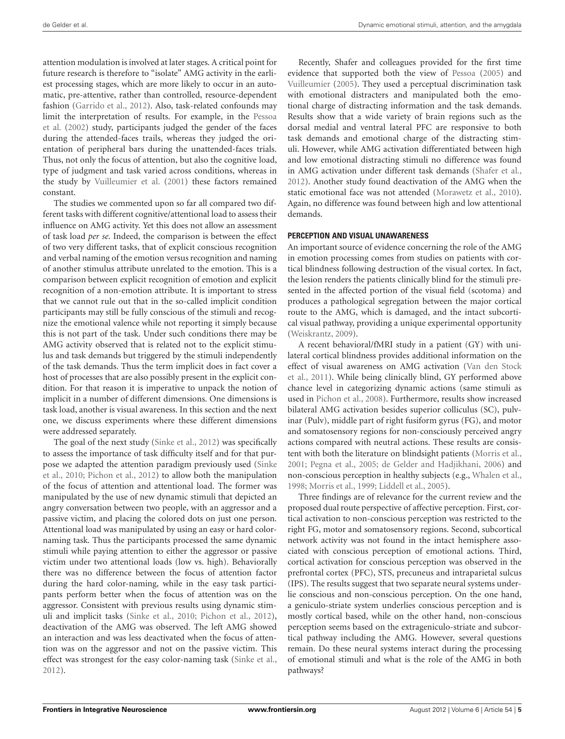attention modulation is involved at later stages. A critical point for future research is therefore to "isolate" AMG activity in the earliest processing stages, which are more likely to occur in an automatic, pre-attentive, rather than controlled, resource-dependent fashion [\(Garrido et al., 2012\)](#page-8-3). Also, task-related confounds may limit [the](#page-9-26) [interpretation](#page-9-26) [of](#page-9-26) [results.](#page-9-26) [For](#page-9-26) [example,](#page-9-26) [in](#page-9-26) [the](#page-9-26) Pessoa et al. [\(2002\)](#page-9-26) study, participants judged the gender of the faces during the attended-faces trails, whereas they judged the orientation of peripheral bars during the unattended-faces trials. Thus, not only the focus of attention, but also the cognitive load, type of judgment and task varied across conditions, whereas in the study by [Vuilleumier et al.](#page-9-11) [\(2001\)](#page-9-11) these factors remained constant.

The studies we commented upon so far all compared two different tasks with different cognitive/attentional load to assess their influence on AMG activity. Yet this does not allow an assessment of task load *per se*. Indeed, the comparison is between the effect of two very different tasks, that of explicit conscious recognition and verbal naming of the emotion versus recognition and naming of another stimulus attribute unrelated to the emotion. This is a comparison between explicit recognition of emotion and explicit recognition of a non-emotion attribute. It is important to stress that we cannot rule out that in the so-called implicit condition participants may still be fully conscious of the stimuli and recognize the emotional valence while not reporting it simply because this is not part of the task. Under such conditions there may be AMG activity observed that is related not to the explicit stimulus and task demands but triggered by the stimuli independently of the task demands. Thus the term implicit does in fact cover a host of processes that are also possibly present in the explicit condition. For that reason it is imperative to unpack the notion of implicit in a number of different dimensions. One dimensions is task load, another is visual awareness. In this section and the next one, we discuss experiments where these different dimensions were addressed separately.

The goal of the next study [\(Sinke et al., 2012\)](#page-9-22) was specifically to assess the importance of task difficulty itself and for that purpose [we adapted the attention paradigm previously used \(](#page-9-21)Sinke et al., [2010](#page-9-21); [Pichon et al., 2012](#page-9-19)) to allow both the manipulation of the focus of attention and attentional load. The former was manipulated by the use of new dynamic stimuli that depicted an angry conversation between two people, with an aggressor and a passive victim, and placing the colored dots on just one person. Attentional load was manipulated by using an easy or hard colornaming task. Thus the participants processed the same dynamic stimuli while paying attention to either the aggressor or passive victim under two attentional loads (low vs. high). Behaviorally there was no difference between the focus of attention factor during the hard color-naming, while in the easy task participants perform better when the focus of attention was on the aggressor. Consistent with previous results using dynamic stimuli and implicit tasks [\(Sinke et al., 2010](#page-9-21); [Pichon et al., 2012](#page-9-19)), deactivation of the AMG was observed. The left AMG showed an interaction and was less deactivated when the focus of attention was on the aggressor and not on the passive victim. This effect was strongest for the easy color-naming task [\(Sinke et al.,](#page-9-22) [2012](#page-9-22)).

Recently, Shafer and colleagues provided for the first time evidence that supported both the view of [Pessoa](#page-9-25) [\(2005](#page-9-25)) and [Vuilleumier](#page-9-12) [\(2005](#page-9-12)). They used a perceptual discrimination task with emotional distracters and manipulated both the emotional charge of distracting information and the task demands. Results show that a wide variety of brain regions such as the dorsal medial and ventral lateral PFC are responsive to both task demands and emotional charge of the distracting stimuli. However, while AMG activation differentiated between high and low emotional distracting stimuli no difference was found in AMG activation under different task demands [\(Shafer et al.,](#page-9-27) [2012](#page-9-27)). Another study found deactivation of the AMG when the static emotional face was not attended [\(Morawetz et al.](#page-9-28), [2010](#page-9-28)). Again, no difference was found between high and low attentional demands.

# **PERCEPTION AND VISUAL UNAWARENESS**

An important source of evidence concerning the role of the AMG in emotion processing comes from studies on patients with cortical blindness following destruction of the visual cortex. In fact, the lesion renders the patients clinically blind for the stimuli presented in the affected portion of the visual field (scotoma) and produces a pathological segregation between the major cortical route to the AMG, which is damaged, and the intact subcortical visual pathway, providing a unique experimental opportunity [\(Weiskrantz](#page-9-29), [2009\)](#page-9-29).

A recent behavioral/fMRI study in a patient (GY) with unilateral cortical blindness provides additional information on the effec[t of visual awareness on AMG activation \(](#page-9-23)Van den Stock et al., [2011](#page-9-23)). While being clinically blind, GY performed above chance level in categorizing dynamic actions (same stimuli as used in [Pichon et al., 2008](#page-9-14)). Furthermore, results show increased bilateral AMG activation besides superior colliculus (SC), pulvinar (Pulv), middle part of right fusiform gyrus (FG), and motor and somatosensory regions for non-consciously perceived angry actions compared with neutral actions. These results are consistent with both the literature on blindsight patients [\(Morris et al.,](#page-9-5) [2001](#page-9-5); [Pegna et al., 2005;](#page-9-30) [de Gelder and Hadjikhani, 2006](#page-8-9)) and non-conscious perception in healthy subjects (e.g., [Whalen et al.,](#page-9-8) [1998](#page-9-8); [Morris et al.](#page-9-9), [1999;](#page-9-9) [Liddell et al., 2005\)](#page-9-10).

Three findings are of relevance for the current review and the proposed dual route perspective of affective perception. First, cortical activation to non-conscious perception was restricted to the right FG, motor and somatosensory regions. Second, subcortical network activity was not found in the intact hemisphere associated with conscious perception of emotional actions. Third, cortical activation for conscious perception was observed in the prefrontal cortex (PFC), STS, precuneus and intraparietal sulcus (IPS). The results suggest that two separate neural systems underlie conscious and non-conscious perception. On the one hand, a geniculo-striate system underlies conscious perception and is mostly cortical based, while on the other hand, non-conscious perception seems based on the extrageniculo-striate and subcortical pathway including the AMG. However, several questions remain. Do these neural systems interact during the processing of emotional stimuli and what is the role of the AMG in both pathways?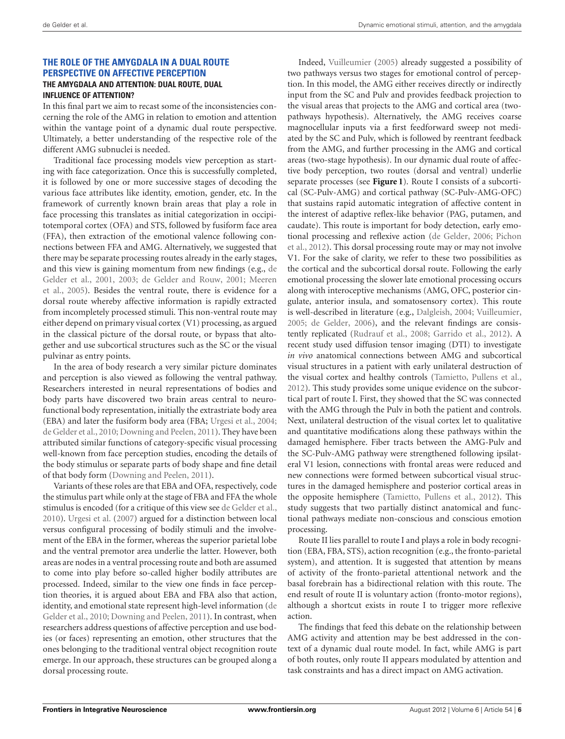#### **THE ROLE OF THE AMYGDALA IN A DUAL ROUTE PERSPECTIVE ON AFFECTIVE PERCEPTION THE AMYGDALA AND ATTENTION: DUAL ROUTE, DUAL INFLUENCE OF ATTENTION?**

In this final part we aim to recast some of the inconsistencies concerning the role of the AMG in relation to emotion and attention within the vantage point of a dynamic dual route perspective. Ultimately, a better understanding of the respective role of the different AMG subnuclei is needed.

Traditional face processing models view perception as starting with face categorization. Once this is successfully completed, it is followed by one or more successive stages of decoding the various face attributes like identity, emotion, gender, etc. In the framework of currently known brain areas that play a role in face processing this translates as initial categorization in occipitotemporal cortex (OFA) and STS, followed by fusiform face area (FFA), then extraction of the emotional valence following connections between FFA and AMG. Alternatively, we suggested that there may be separate processing routes already in the early stages, and this vie[w is gaining momentum from new findings \(e.g.,](#page-8-10) de Geld[er](#page-9-31) [et](#page-9-31) [al.,](#page-9-31) [2001](#page-8-10)[,](#page-9-31) [2003](#page-8-5)[;](#page-9-31) [de Gelder and Rouw](#page-8-4)[,](#page-9-31) [2001;](#page-8-4) Meeren et al., [2005](#page-9-31)). Besides the ventral route, there is evidence for a dorsal route whereby affective information is rapidly extracted from incompletely processed stimuli. This non-ventral route may either depend on primary visual cortex (V1) processing, as argued in the classical picture of the dorsal route, or bypass that altogether and use subcortical structures such as the SC or the visual pulvinar as entry points.

In the area of body research a very similar picture dominates and perception is also viewed as following the ventral pathway. Researchers interested in neural representations of bodies and body parts have discovered two brain areas central to neurofunctional body representation, initially the extrastriate body area (EBA) and later the fusiform body area (FBA; [Urgesi et al., 2004;](#page-9-32) [de Gelder et al.](#page-8-11), [2010;](#page-8-11) [Downing and Peelen](#page-8-12), [2011](#page-8-12)). They have been attributed similar functions of category-specific visual processing well-known from face perception studies, encoding the details of the body stimulus or separate parts of body shape and fine detail of that body form [\(Downing and Peelen, 2011\)](#page-8-12).

Variants of these roles are that EBA and OFA, respectively, code the stimulus part while only at the stage of FBA and FFA the whole stimulus is encoded (for a critique of this view see [de Gelder et al.,](#page-8-11) [2010](#page-8-11)). [Urgesi et al.](#page-9-33) [\(2007](#page-9-33)) argued for a distinction between local versus configural processing of bodily stimuli and the involvement of the EBA in the former, whereas the superior parietal lobe and the ventral premotor area underlie the latter. However, both areas are nodes in a ventral processing route and both are assumed to come into play before so-called higher bodily attributes are processed. Indeed, similar to the view one finds in face perception theories, it is argued about EBA and FBA also that action, identity, an[d emotional state represent high-level information \(](#page-8-11)de Gelder et al., [2010;](#page-8-11) [Downing and Peelen](#page-8-12), [2011\)](#page-8-12). In contrast, when researchers address questions of affective perception and use bodies (or faces) representing an emotion, other structures that the ones belonging to the traditional ventral object recognition route emerge. In our approach, these structures can be grouped along a dorsal processing route.

Indeed, [Vuilleumier](#page-9-12) [\(2005](#page-9-12)) already suggested a possibility of two pathways versus two stages for emotional control of perception. In this model, the AMG either receives directly or indirectly input from the SC and Pulv and provides feedback projection to the visual areas that projects to the AMG and cortical area (twopathways hypothesis). Alternatively, the AMG receives coarse magnocellular inputs via a first feedforward sweep not mediated by the SC and Pulv, which is followed by reentrant feedback from the AMG, and further processing in the AMG and cortical areas (two-stage hypothesis). In our dynamic dual route of affective body perception, two routes (dorsal and ventral) underlie separate processes (see **[Figure 1](#page-7-0)**). Route I consists of a subcortical (SC-Pulv-AMG) and cortical pathway (SC-Pulv-AMG-OFC) that sustains rapid automatic integration of affective content in the interest of adaptive reflex-like behavior (PAG, putamen, and caudate). This route is important for body detection, early emotion[al](#page-9-19) [processing](#page-9-19) [and](#page-9-19) [reflexive](#page-9-19) [action](#page-9-19) [\(de Gelder](#page-8-13)[,](#page-9-19) [2006](#page-8-13)[;](#page-9-19) Pichon et al., [2012\)](#page-9-19). This dorsal processing route may or may not involve V1. For the sake of clarity, we refer to these two possibilities as the cortical and the subcortical dorsal route. Following the early emotional processing the slower late emotional processing occurs along with interoceptive mechanisms (AMG, OFC, posterior cingulate, anterior insula, and somatosensory cortex). This route is well-described in literature (e.g., [Dalgleish](#page-8-14), [2004](#page-8-14); [Vuilleumier,](#page-9-12) [2005](#page-9-12); [de Gelder, 2006\)](#page-8-13), and the relevant findings are consistently replicated [\(Rudrauf et al., 2008](#page-9-34); [Garrido et al.](#page-8-3), [2012](#page-8-3)). A recent study used diffusion tensor imaging (DTI) to investigate *in vivo* anatomical connections between AMG and subcortical visual structures in a patient with early unilateral destruction of the visual cortex and healthy controls [\(Tamietto, Pullens et al.,](#page-9-35) [2012](#page-9-35)). This study provides some unique evidence on the subcortical part of route I. First, they showed that the SC was connected with the AMG through the Pulv in both the patient and controls. Next, unilateral destruction of the visual cortex let to qualitative and quantitative modifications along these pathways within the damaged hemisphere. Fiber tracts between the AMG-Pulv and the SC-Pulv-AMG pathway were strengthened following ipsilateral V1 lesion, connections with frontal areas were reduced and new connections were formed between subcortical visual structures in the damaged hemisphere and posterior cortical areas in the opposite hemisphere [\(Tamietto, Pullens et al., 2012](#page-9-35)). This study suggests that two partially distinct anatomical and functional pathways mediate non-conscious and conscious emotion processing.

Route II lies parallel to route I and plays a role in body recognition (EBA, FBA, STS), action recognition (e.g., the fronto-parietal system), and attention. It is suggested that attention by means of activity of the fronto-parietal attentional network and the basal forebrain has a bidirectional relation with this route. The end result of route II is voluntary action (fronto-motor regions), although a shortcut exists in route I to trigger more reflexive action.

The findings that feed this debate on the relationship between AMG activity and attention may be best addressed in the context of a dynamic dual route model. In fact, while AMG is part of both routes, only route II appears modulated by attention and task constraints and has a direct impact on AMG activation.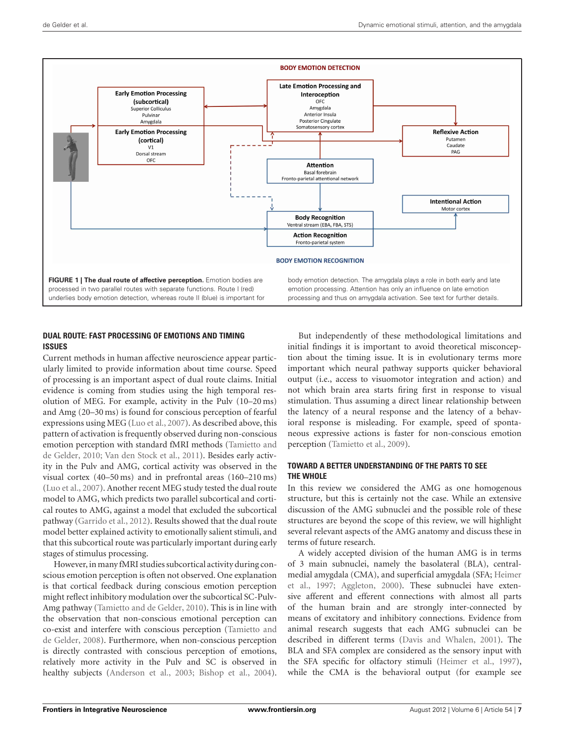

#### <span id="page-7-0"></span>**DUAL ROUTE: FAST PROCESSING OF EMOTIONS AND TIMING ISSUES**

Current methods in human affective neuroscience appear particularly limited to provide information about time course. Speed of processing is an important aspect of dual route claims. Initial evidence is coming from studies using the high temporal resolution of MEG. For example, activity in the Pulv (10–20 ms) and Amg (20–30 ms) is found for conscious perception of fearful expressions using MEG [\(Luo et al., 2007\)](#page-9-36). As described above, this pattern of activation is frequently observed during non-conscious emotion [perception](#page-9-13) [with](#page-9-13) [standard](#page-9-13) [fMRI](#page-9-13) [methods](#page-9-13) [\(](#page-9-13)Tamietto and de Gelder, [2010;](#page-9-13) [Van den Stock et al.](#page-9-23), [2011](#page-9-23)). Besides early activity in the Pulv and AMG, cortical activity was observed in the visual cortex (40–50 ms) and in prefrontal areas (160–210 ms) [\(Luo et al., 2007](#page-9-36)). Another recent MEG study tested the dual route model to AMG, which predicts two parallel subcortical and cortical routes to AMG, against a model that excluded the subcortical pathway [\(Garrido et al.](#page-8-3), [2012\)](#page-8-3). Results showed that the dual route model better explained activity to emotionally salient stimuli, and that this subcortical route was particularly important during early stages of stimulus processing.

However, in manyfMRI studies subcortical activity during conscious emotion perception is often not observed. One explanation is that cortical feedback during conscious emotion perception might reflect inhibitory modulation over the subcortical SC-Pulv-Amg pathway [\(Tamietto and de Gelder, 2010](#page-9-13)). This is in line with the observation that non-conscious emotional perception can co-exist a[nd interfere with conscious perception \(](#page-9-37)Tamietto and de Gelder, [2008\)](#page-9-37). Furthermore, when non-conscious perception is directly contrasted with conscious perception of emotions, relatively more activity in the Pulv and SC is observed in healthy subjects [\(Anderson et al., 2003;](#page-8-15) [Bishop et al.](#page-8-16), [2004](#page-8-16)).

But independently of these methodological limitations and initial findings it is important to avoid theoretical misconception about the timing issue. It is in evolutionary terms more important which neural pathway supports quicker behavioral output (i.e., access to visuomotor integration and action) and not which brain area starts firing first in response to visual stimulation. Thus assuming a direct linear relationship between the latency of a neural response and the latency of a behavioral response is misleading. For example, speed of spontaneous expressive actions is faster for non-conscious emotion perception [\(Tamietto et al., 2009\)](#page-9-38).

## **TOWARD A BETTER UNDERSTANDING OF THE PARTS TO SEE THE WHOLE**

In this review we considered the AMG as one homogenous structure, but this is certainly not the case. While an extensive discussion of the AMG subnuclei and the possible role of these structures are beyond the scope of this review, we will highlight several relevant aspects of the AMG anatomy and discuss these in terms of future research.

A widely accepted division of the human AMG is in terms of 3 main subnuclei, namely the basolateral (BLA), centralmedi[al amygdala \(CMA\), and superficial amygdala \(SFA;](#page-9-39) Heimer et al., [1997](#page-9-39); [Aggleton, 2000](#page-8-17)). These subnuclei have extensive afferent and efferent connections with almost all parts of the human brain and are strongly inter-connected by means of excitatory and inhibitory connections. Evidence from animal research suggests that each AMG subnuclei can be described in different terms [\(Davis and Whalen](#page-8-18), [2001](#page-8-18)). The BLA and SFA complex are considered as the sensory input with the SFA specific for olfactory stimuli [\(Heimer et al., 1997](#page-9-39)), while the CMA is the behavioral output (for example see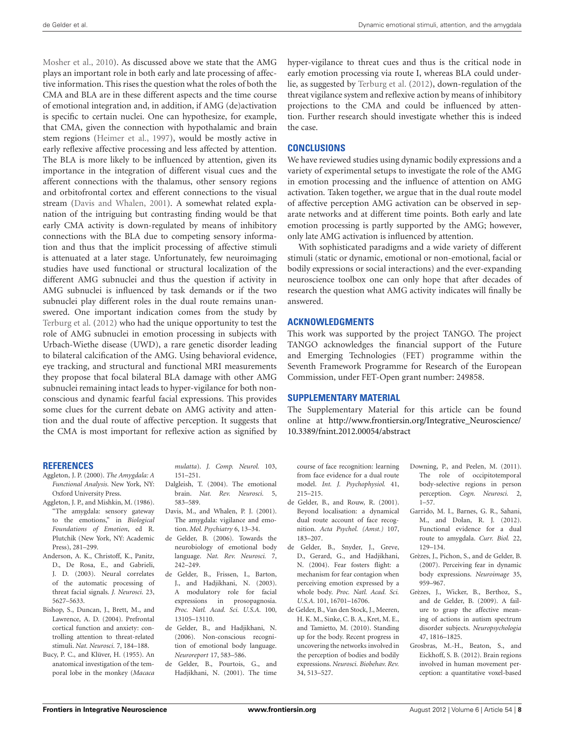[Mosher et al., 2010](#page-9-1)). As discussed above we state that the AMG plays an important role in both early and late processing of affective information. This rises the question what the roles of both the CMA and BLA are in these different aspects and the time course of emotional integration and, in addition, if AMG (de)activation is specific to certain nuclei. One can hypothesize, for example, that CMA, given the connection with hypothalamic and brain stem regions [\(Heimer et al., 1997\)](#page-9-39), would be mostly active in early reflexive affective processing and less affected by attention. The BLA is more likely to be influenced by attention, given its importance in the integration of different visual cues and the afferent connections with the thalamus, other sensory regions and orbitofrontal cortex and efferent connections to the visual stream [\(Davis and Whalen, 2001\)](#page-8-18). A somewhat related explanation of the intriguing but contrasting finding would be that early CMA activity is down-regulated by means of inhibitory connections with the BLA due to competing sensory information and thus that the implicit processing of affective stimuli is attenuated at a later stage. Unfortunately, few neuroimaging studies have used functional or structural localization of the different AMG subnuclei and thus the question if activity in AMG subnuclei is influenced by task demands or if the two subnuclei play different roles in the dual route remains unanswered. One important indication comes from the study by [Terburg et al.](#page-9-40) [\(2012\)](#page-9-40) who had the unique opportunity to test the role of AMG subnuclei in emotion processing in subjects with Urbach-Wiethe disease (UWD), a rare genetic disorder leading to bilateral calcification of the AMG. Using behavioral evidence, eye tracking, and structural and functional MRI measurements they propose that focal bilateral BLA damage with other AMG subnuclei remaining intact leads to hyper-vigilance for both nonconscious and dynamic fearful facial expressions. This provides some clues for the current debate on AMG activity and attention and the dual route of affective perception. It suggests that the CMA is most important for reflexive action as signified by

#### **REFERENCES**

- <span id="page-8-17"></span>Aggleton, J. P. (2000). *The Amygdala: A Functional Analysis.* New York, NY: Oxford University Press.
- <span id="page-8-1"></span>Aggleton, J. P., and Mishkin, M. (1986). "The amygdala: sensory gateway to the emotions," in *Biological Foundations of Emotion*, ed R. Plutchik (New York, NY: Academic Press), 281–299.
- <span id="page-8-15"></span>Anderson, A. K., Christoff, K., Panitz, D., De Rosa, E., and Gabrieli, J. D. (2003). Neural correlates of the automatic processing of threat facial signals. *J. Neurosci.* 23, 5627–5633.
- <span id="page-8-16"></span>Bishop, S., Duncan, J., Brett, M., and Lawrence, A. D. (2004). Prefrontal cortical function and anxiety: controlling attention to threat-related stimuli. *Nat. Neurosci.* 7, 184–188.
- <span id="page-8-0"></span>Bucy, P. C., and Klüver, H. (1955). An anatomical investigation of the temporal lobe in the monkey (*Macaca*

*mulatta*). *J. Comp. Neurol.* 103, 151–251.

- <span id="page-8-14"></span>Dalgleish, T. (2004). The emotional brain. *Nat. Rev. Neurosci.* 5, 583–589.
- <span id="page-8-18"></span>Davis, M., and Whalen, P. J. (2001). The amygdala: vigilance and emotion. *Mol. Psychiatry* 6, 13–34.
- <span id="page-8-13"></span>de Gelder, B. (2006). Towards the neurobiology of emotional body language. *Nat. Rev. Neurosci.* 7, 242–249.
- <span id="page-8-5"></span>de Gelder, B., Frissen, I., Barton, J., and Hadjikhani, N. (2003). A modulatory role for facial expressions in prosopagnosia. *Proc. Natl. Acad. Sci. U.S.A.* 100, 13105–13110.
- <span id="page-8-9"></span>de Gelder, B., and Hadjikhani, N. (2006). Non-conscious recognition of emotional body language. *Neuroreport* 17, 583–586.
- <span id="page-8-10"></span>de Gelder, B., Pourtois, G., and Hadjikhani, N. (2001). The time

hyper-vigilance to threat cues and thus is the critical node in early emotion processing via route I, whereas BLA could underlie, as suggested by [Terburg et al.](#page-9-40) [\(2012\)](#page-9-40), down-regulation of the threat vigilance system and reflexive action by means of inhibitory projections to the CMA and could be influenced by attention. Further research should investigate whether this is indeed the case.

#### **CONCLUSIONS**

We have reviewed studies using dynamic bodily expressions and a variety of experimental setups to investigate the role of the AMG in emotion processing and the influence of attention on AMG activation. Taken together, we argue that in the dual route model of affective perception AMG activation can be observed in separate networks and at different time points. Both early and late emotion processing is partly supported by the AMG; however, only late AMG activation is influenced by attention.

With sophisticated paradigms and a wide variety of different stimuli (static or dynamic, emotional or non-emotional, facial or bodily expressions or social interactions) and the ever-expanding neuroscience toolbox one can only hope that after decades of research the question what AMG activity indicates will finally be answered.

#### **ACKNOWLEDGMENTS**

This work was supported by the project TANGO. The project TANGO acknowledges the financial support of the Future and Emerging Technologies (FET) programme within the Seventh Framework Programme for Research of the European Commission, under FET-Open grant number: 249858.

#### **SUPPLEMENTARY MATERIAL**

The Supplementary Material for this article can be found online at [http://www.frontiersin.org/Integrative\\_Neuroscience/](http://www.frontiersin.org/Integrative_Neuroscience/10.3389/fnint.2012.00054/abstract) [10.3389/fnint.2012.00054/abstract](http://www.frontiersin.org/Integrative_Neuroscience/10.3389/fnint.2012.00054/abstract)

- course of face recognition: learning from face evidence for a dual route model. *Int. J. Psychophysiol.* 41, 215–215.
- <span id="page-8-4"></span>de Gelder, B., and Rouw, R. (2001). Beyond localisation: a dynamical dual route account of face recognition. *Acta Psychol. (Amst.)* 107, 183–207.
- <span id="page-8-7"></span>de Gelder, B., Snyder, J., Greve, D., Gerard, G., and Hadjikhani, N. (2004). Fear fosters flight: a mechanism for fear contagion when perceiving emotion expressed by a whole body. *Proc. Natl. Acad. Sci. U.S.A.* 101, 16701–16706.
- <span id="page-8-11"></span>de Gelder, B., Van den Stock, J., Meeren, H. K. M., Sinke, C. B. A., Kret, M. E., and Tamietto, M. (2010). Standing up for the body. Recent progress in uncovering the networks involved in the perception of bodies and bodily expressions. *Neurosci. Biobehav. Rev.* 34, 513–527.
- <span id="page-8-12"></span>Downing, P., and Peelen, M. (2011). The role of occipitotemporal body-selective regions in person perception. *Cogn. Neurosci.* 2, 1–57.
- <span id="page-8-3"></span>Garrido, M. I., Barnes, G. R., Sahani, M., and Dolan, R. J. (2012). Functional evidence for a dual route to amygdala. *Curr. Biol.* 22, 129–134.
- <span id="page-8-6"></span>Grèzes, J., Pichon, S., and de Gelder, B. (2007). Perceiving fear in dynamic body expressions. *Neuroimage* 35, 959–967.
- <span id="page-8-8"></span>Grèzes, J., Wicker, B., Berthoz, S., and de Gelder, B. (2009). A failure to grasp the affective meaning of actions in autism spectrum disorder subjects. *Neuropsychologia* 47, 1816–1825.
- <span id="page-8-2"></span>Grosbras, M.-H., Beaton, S., and Eickhoff, S. B. (2012). Brain regions involved in human movement perception: a quantitative voxel-based